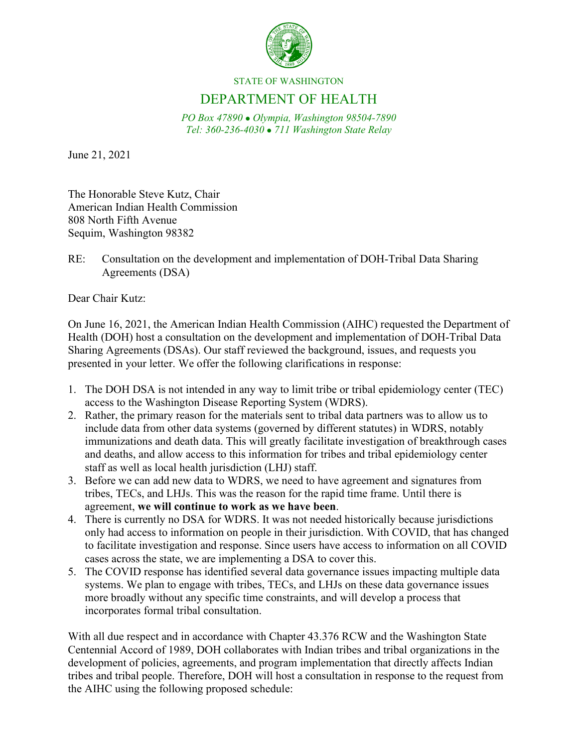

STATE OF WASHINGTON

## DEPARTMENT OF HEALTH

*PO Box 47890 Olympia, Washington 98504-7890 Tel: 360-236-4030 711 Washington State Relay*

June 21, 2021

The Honorable Steve Kutz, Chair American Indian Health Commission 808 North Fifth Avenue Sequim, Washington 98382

RE: Consultation on the development and implementation of DOH-Tribal Data Sharing Agreements (DSA)

Dear Chair Kutz:

On June 16, 2021, the American Indian Health Commission (AIHC) requested the Department of Health (DOH) host a consultation on the development and implementation of DOH-Tribal Data Sharing Agreements (DSAs). Our staff reviewed the background, issues, and requests you presented in your letter. We offer the following clarifications in response:

- 1. The DOH DSA is not intended in any way to limit tribe or tribal epidemiology center (TEC) access to the Washington Disease Reporting System (WDRS).
- 2. Rather, the primary reason for the materials sent to tribal data partners was to allow us to include data from other data systems (governed by different statutes) in WDRS, notably immunizations and death data. This will greatly facilitate investigation of breakthrough cases and deaths, and allow access to this information for tribes and tribal epidemiology center staff as well as local health jurisdiction (LHJ) staff.
- 3. Before we can add new data to WDRS, we need to have agreement and signatures from tribes, TECs, and LHJs. This was the reason for the rapid time frame. Until there is agreement, **we will continue to work as we have been**.
- 4. There is currently no DSA for WDRS. It was not needed historically because jurisdictions only had access to information on people in their jurisdiction. With COVID, that has changed to facilitate investigation and response. Since users have access to information on all COVID cases across the state, we are implementing a DSA to cover this.
- 5. The COVID response has identified several data governance issues impacting multiple data systems. We plan to engage with tribes, TECs, and LHJs on these data governance issues more broadly without any specific time constraints, and will develop a process that incorporates formal tribal consultation.

With all due respect and in accordance with Chapter 43.376 RCW and the Washington State Centennial Accord of 1989, DOH collaborates with Indian tribes and tribal organizations in the development of policies, agreements, and program implementation that directly affects Indian tribes and tribal people. Therefore, DOH will host a consultation in response to the request from the AIHC using the following proposed schedule: